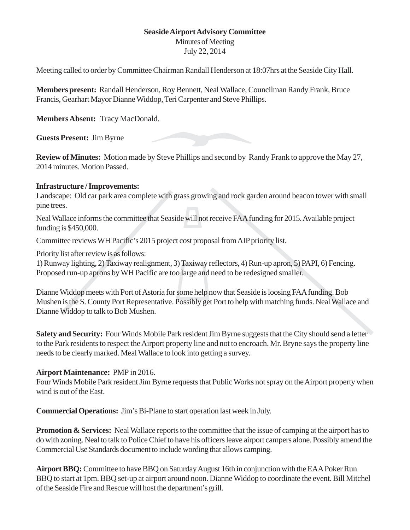## **Seaside Airport Advisory Committee**

## Minutes of Meeting

July 22, 2014

Meeting called to order by Committee Chairman Randall Henderson at 18:07hrs at the Seaside City Hall.

**Members present:** Randall Henderson, Roy Bennett, Neal Wallace, Councilman Randy Frank, Bruce Francis, Gearhart Mayor Dianne Widdop, Teri Carpenter and Steve Phillips.

**Members Absent:** Tracy MacDonald.

**Guests Present:** Jim Byrne

**Review of Minutes:** Motion made by Steve Phillips and second by Randy Frank to approve the May 27, 2014 minutes. Motion Passed.

## **Infrastructure / Improvements:**

Landscape: Old car park area complete with grass growing and rock garden around beacon tower with small pine trees.

Neal Wallace informs the committee that Seaside will not receive FAA funding for 2015. Available project funding is \$450,000.

Committee reviews WH Pacific's 2015 project cost proposal from AIP priority list.

Priority list after review is as follows:

1) Runway lighting, 2) Taxiway realignment, 3) Taxiway reflectors, 4) Run-up apron, 5) PAPI, 6) Fencing. Proposed run-up aprons by WH Pacific are too large and need to be redesigned smaller.

Dianne Widdop meets with Port of Astoria for some help now that Seaside is loosing FAA funding. Bob Mushen is the S. County Port Representative. Possibly get Port to help with matching funds. Neal Wallace and Dianne Widdop to talk to Bob Mushen.

**Safety and Security:** Four Winds Mobile Park resident Jim Byrne suggests that the City should send a letter to the Park residents to respect the Airport property line and not to encroach. Mr. Bryne says the property line needs to be clearly marked. Meal Wallace to look into getting a survey.

## **Airport Maintenance:** PMP in 2016.

Four Winds Mobile Park resident Jim Byrne requests that Public Works not spray on the Airport property when wind is out of the East.

**Commercial Operations:** Jim's Bi-Plane to start operation last week in July.

**Promotion & Services:** Neal Wallace reports to the committee that the issue of camping at the airport has to do with zoning. Neal to talk to Police Chief to have his officers leave airport campers alone. Possibly amend the Commercial Use Standards document to include wording that allows camping.

**Airport BBQ:** Committee to have BBQ on Saturday August 16th in conjunction with the EAA Poker Run BBQ to start at 1pm. BBQ set-up at airport around noon. Dianne Widdop to coordinate the event. Bill Mitchel of the Seaside Fire and Rescue will host the department's grill.